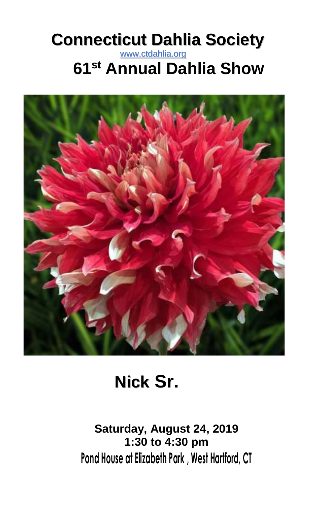# **Connecticut Dahlia Society** www.ctdahlia.org **61 st Annual Dahlia Show**



# **Nick Sr.**

**Saturday, August 24, 2019 1:30 to 4:30 pm Pond House at Elizabeth Park , West Hartford, CT**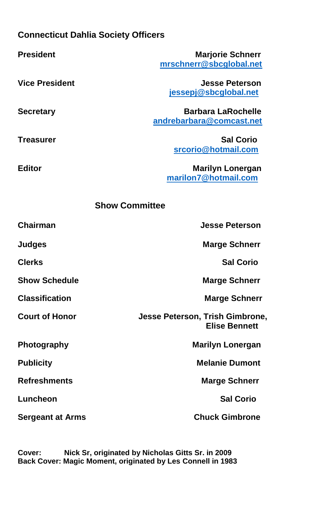#### **Connecticut Dahlia Society Officers**

| <b>President</b>        | <b>Marjorie Schnerr</b><br>mrschnerr@sbcglobal.net      |  |  |
|-------------------------|---------------------------------------------------------|--|--|
|                         |                                                         |  |  |
| <b>Vice President</b>   | <b>Jesse Peterson</b>                                   |  |  |
|                         | jessepj@sbcglobal.net                                   |  |  |
| <b>Secretary</b>        | <b>Barbara LaRochelle</b>                               |  |  |
|                         | andrebarbara@comcast.net                                |  |  |
| Treasurer               | <b>Sal Corio</b>                                        |  |  |
|                         | srcorio@hotmail.com                                     |  |  |
| <b>Editor</b>           | <b>Marilyn Lonergan</b>                                 |  |  |
|                         | marilon7@hotmail.com                                    |  |  |
| <b>Show Committee</b>   |                                                         |  |  |
| Chairman                | <b>Jesse Peterson</b>                                   |  |  |
| <b>Judges</b>           | <b>Marge Schnerr</b>                                    |  |  |
| <b>Clerks</b>           | <b>Sal Corio</b>                                        |  |  |
| <b>Show Schedule</b>    | <b>Marge Schnerr</b>                                    |  |  |
| <b>Classification</b>   | <b>Marge Schnerr</b>                                    |  |  |
| <b>Court of Honor</b>   | Jesse Peterson, Trish Gimbrone,<br><b>Elise Bennett</b> |  |  |
| Photography             | <b>Marilyn Lonergan</b>                                 |  |  |
| <b>Publicity</b>        | <b>Melanie Dumont</b>                                   |  |  |
| <b>Refreshments</b>     | <b>Marge Schnerr</b>                                    |  |  |
| Luncheon                | <b>Sal Corio</b>                                        |  |  |
| <b>Sergeant at Arms</b> | <b>Chuck Gimbrone</b>                                   |  |  |

**Cover:****Nick Sr, originated by Nicholas Gitts Sr. in 2009 Back Cover: Magic Moment, originated by Les Connell in 1983**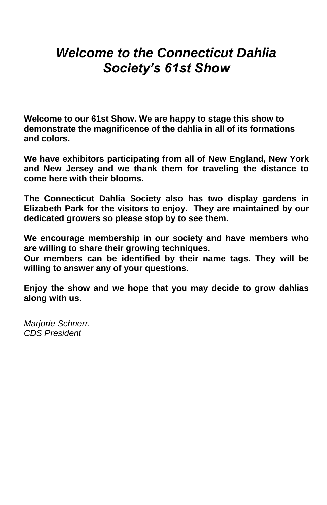## *Welcome to the Connecticut Dahlia Society's 61st Show*

**Welcome to our 61st Show. We are happy to stage this show to demonstrate the magnificence of the dahlia in all of its formations and colors.**

**We have exhibitors participating from all of New England, New York and New Jersey and we thank them for traveling the distance to come here with their blooms.**

**The Connecticut Dahlia Society also has two display gardens in Elizabeth Park for the visitors to enjoy. They are maintained by our dedicated growers so please stop by to see them.**

**We encourage membership in our society and have members who are willing to share their growing techniques.**

**Our members can be identified by their name tags. They will be willing to answer any of your questions.**

**Enjoy the show and we hope that you may decide to grow dahlias along with us.**

*Marjorie Schnerr. CDS President*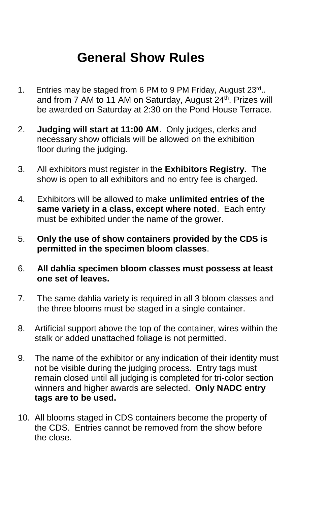# **General Show Rules**

- 1. Entries may be staged from 6 PM to 9 PM Friday, August 23rd.. and from 7 AM to 11 AM on Saturday, August 24<sup>th</sup>. Prizes will be awarded on Saturday at 2:30 on the Pond House Terrace.
- 2. **Judging will start at 11:00 AM**. Only judges, clerks and necessary show officials will be allowed on the exhibition floor during the judging.
- 3. All exhibitors must register in the **Exhibitors Registry.** The show is open to all exhibitors and no entry fee is charged.
- 4. Exhibitors will be allowed to make **unlimited entries of the same variety in a class, except where noted**. Each entry must be exhibited under the name of the grower.
- 5. **Only the use of show containers provided by the CDS is permitted in the specimen bloom classes**.
- 6. **All dahlia specimen bloom classes must possess at least one set of leaves.**
- 7. The same dahlia variety is required in all 3 bloom classes and the three blooms must be staged in a single container.
- 8. Artificial support above the top of the container, wires within the stalk or added unattached foliage is not permitted.
- 9. The name of the exhibitor or any indication of their identity must not be visible during the judging process. Entry tags must remain closed until all judging is completed for tri-color section winners and higher awards are selected. **Only NADC entry tags are to be used.**
- 10. All blooms staged in CDS containers become the property of the CDS. Entries cannot be removed from the show before the close.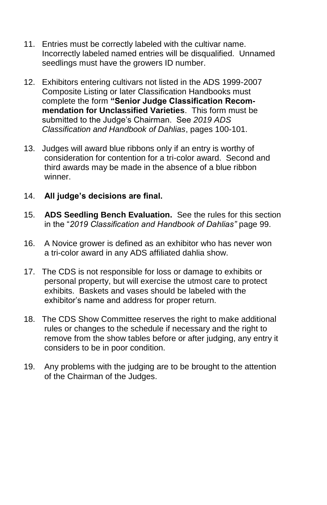- 11. Entries must be correctly labeled with the cultivar name. Incorrectly labeled named entries will be disqualified. Unnamed seedlings must have the growers ID number.
- 12. Exhibitors entering cultivars not listed in the ADS 1999-2007 Composite Listing or later Classification Handbooks must complete the form **"Senior Judge Classification Recom mendation for Unclassified Varieties**. This form must be submitted to the Judge's Chairman. See *2019 ADS Classification and Handbook of Dahlias*, pages 100-101.
- 13. Judges will award blue ribbons only if an entry is worthy of consideration for contention for a tri-color award. Second and third awards may be made in the absence of a blue ribbon winner.
- 14. **All judge's decisions are final.**
- 15. **ADS Seedling Bench Evaluation.** See the rules for this section in the "*2019 Classification and Handbook of Dahlias"* page 99.
- 16. A Novice grower is defined as an exhibitor who has never won a tri-color award in any ADS affiliated dahlia show.
- 17. The CDS is not responsible for loss or damage to exhibits or personal property, but will exercise the utmost care to protect exhibits. Baskets and vases should be labeled with the exhibitor's name and address for proper return.
- 18. The CDS Show Committee reserves the right to make additional rules or changes to the schedule if necessary and the right to remove from the show tables before or after judging, any entry it considers to be in poor condition.
- 19. Any problems with the judging are to be brought to the attention of the Chairman of the Judges.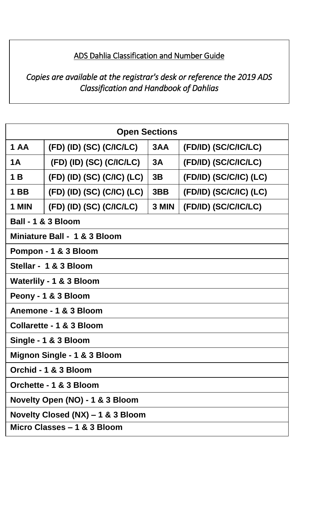#### ADS Dahlia Classification and Number Guide

#### *Copies are available at the registrar's desk or reference the 2019 ADS Classification and Handbook of Dahlias*

| <b>Open Sections</b>              |                            |       |                        |  |
|-----------------------------------|----------------------------|-------|------------------------|--|
| 1 AA                              | (FD) (ID) (SC) (C/IC/LC)   | 3AA   | (FD/ID) (SC/C/IC/LC)   |  |
| 1A                                | (FD) (ID) (SC) (C/IC/LC)   | 3A    | (FD/ID) (SC/C/IC/LC)   |  |
| 1 B                               | (FD) (ID) (SC) (C/IC) (LC) | 3B    | (FD/ID) (SC/C/IC) (LC) |  |
| 1 BB                              | (FD) (ID) (SC) (C/IC) (LC) | 3BB   | (FD/ID) (SC/C/IC) (LC) |  |
| 1 MIN                             | (FD) (ID) (SC) (C/IC/LC)   | 3 MIN | (FD/ID) (SC/C/IC/LC)   |  |
| Ball - 1 & 3 Bloom                |                            |       |                        |  |
| Miniature Ball - 1 & 3 Bloom      |                            |       |                        |  |
| Pompon - 1 & 3 Bloom              |                            |       |                        |  |
| Stellar - 1 & 3 Bloom             |                            |       |                        |  |
| Waterlily - 1 & 3 Bloom           |                            |       |                        |  |
| Peony - 1 & 3 Bloom               |                            |       |                        |  |
| Anemone - 1 & 3 Bloom             |                            |       |                        |  |
| Collarette - 1 & 3 Bloom          |                            |       |                        |  |
| Single - 1 & 3 Bloom              |                            |       |                        |  |
| Mignon Single - 1 & 3 Bloom       |                            |       |                        |  |
| Orchid - 1 & 3 Bloom              |                            |       |                        |  |
| Orchette - 1 & 3 Bloom            |                            |       |                        |  |
| Novelty Open (NO) - 1 & 3 Bloom   |                            |       |                        |  |
| Novelty Closed (NX) - 1 & 3 Bloom |                            |       |                        |  |
| Micro Classes - 1 & 3 Bloom       |                            |       |                        |  |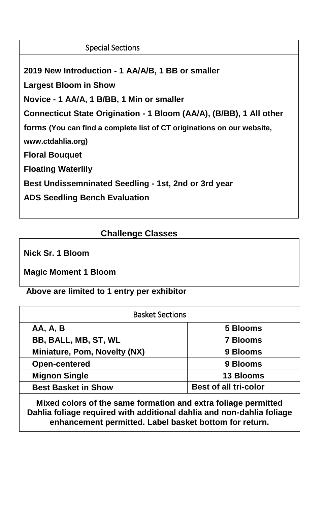#### Special Sections

**2019 New Introduction - 1 AA/A/B, 1 BB or smaller**

**Largest Bloom in Show**

**Novice - 1 AA/A, 1 B/BB, 1 Min or smaller**

**Connecticut State Origination - 1 Bloom (AA/A), (B/BB), 1 All other** 

**forms (You can find a complete list of CT originations on our website,** 

**www.ctdahlia.org)**

**Floral Bouquet**

**Floating Waterlily**

**Best Undissemninated Seedling - 1st, 2nd or 3rd year**

**ADS Seedling Bench Evaluation** 

#### **Challenge Classes**

**Nick Sr. 1 Bloom**

**Magic Moment 1 Bloom**

**Above are limited to 1 entry per exhibitor**

| <b>Basket Sections</b>       |                              |  |
|------------------------------|------------------------------|--|
| <b>AA, A, B</b>              | 5 Blooms                     |  |
| BB, BALL, MB, ST, WL         | <b>7 Blooms</b>              |  |
| Miniature, Pom, Novelty (NX) | 9 Blooms                     |  |
| Open-centered                | 9 Blooms                     |  |
| <b>Mignon Single</b>         | 13 Blooms                    |  |
| <b>Best Basket in Show</b>   | <b>Best of all tri-color</b> |  |
|                              |                              |  |

**Mixed colors of the same formation and extra foliage permitted Dahlia foliage required with additional dahlia and non-dahlia foliage enhancement permitted. Label basket bottom for return.**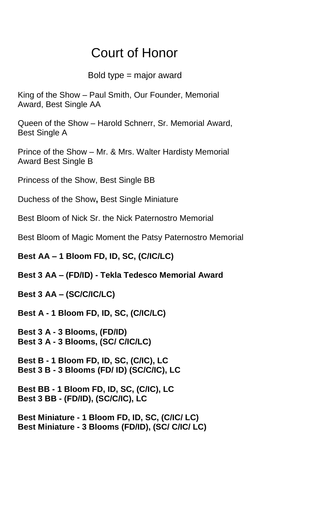## Court of Honor

#### Bold type = major award

King of the Show – Paul Smith, Our Founder, Memorial Award, Best Single AA

Queen of the Show – Harold Schnerr, Sr. Memorial Award, Best Single A

Prince of the Show – Mr. & Mrs. Walter Hardisty Memorial Award Best Single B

Princess of the Show, Best Single BB

Duchess of the Show**,** Best Single Miniature

Best Bloom of Nick Sr. the Nick Paternostro Memorial

Best Bloom of Magic Moment the Patsy Paternostro Memorial

**Best AA – 1 Bloom FD, ID, SC, (C/IC/LC)** 

**Best 3 AA – (FD/ID) - Tekla Tedesco Memorial Award** 

**Best 3 AA – (SC/C/IC/LC)** 

**Best A - 1 Bloom FD, ID, SC, (C/IC/LC)** 

**Best 3 A - 3 Blooms, (FD/ID) Best 3 A - 3 Blooms, (SC/ C/IC/LC)**

**Best B - 1 Bloom FD, ID, SC, (C/IC), LC Best 3 B - 3 Blooms (FD/ ID) (SC/C/IC), LC**

**Best BB - 1 Bloom FD, ID, SC, (C/IC), LC Best 3 BB - (FD/ID), (SC/C/IC), LC**

**Best Miniature - 1 Bloom FD, ID, SC, (C/IC/ LC) Best Miniature - 3 Blooms (FD/ID), (SC/ C/IC/ LC)**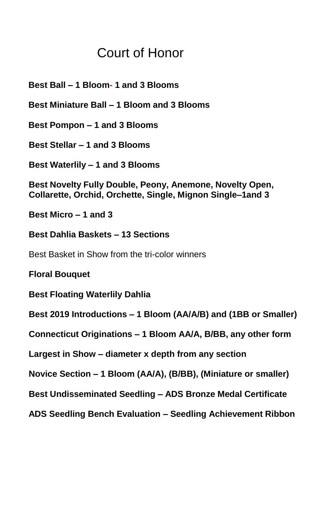## Court of Honor

 **Best Ball – 1 Bloom- 1 and 3 Blooms**

 **Best Miniature Ball – 1 Bloom and 3 Blooms**

 **Best Pompon – 1 and 3 Blooms**

**Best Stellar – 1 and 3 Blooms**

**Best Waterlily – 1 and 3 Blooms**

**Best Novelty Fully Double, Peony, Anemone, Novelty Open, Collarette, Orchid, Orchette, Single, Mignon Single–1and 3** 

**Best Micro – 1 and 3**

**Best Dahlia Baskets – 13 Sections**

Best Basket in Show from the tri-color winners

**Floral Bouquet**

**Best Floating Waterlily Dahlia** 

**Best 2019 Introductions – 1 Bloom (AA/A/B) and (1BB or Smaller)**

**Connecticut Originations – 1 Bloom AA/A, B/BB, any other form**

**Largest in Show – diameter x depth from any section**

**Novice Section – 1 Bloom (AA/A), (B/BB), (Miniature or smaller)**

**Best Undisseminated Seedling – ADS Bronze Medal Certificate**

 **ADS Seedling Bench Evaluation – Seedling Achievement Ribbon**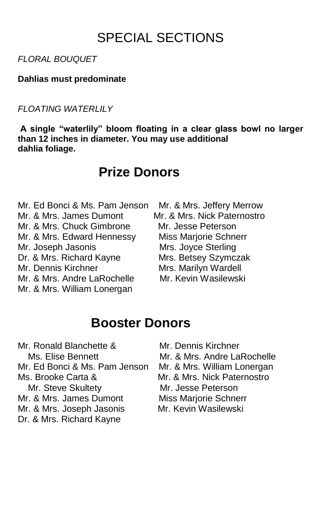# SPECIAL SECTIONS

*FLORAL BOUQUET*

**Dahlias must predominate**

*FLOATING WATERLILY* 

**A single "waterlily" bloom floating in a clear glass bowl no larger than 12 inches in diameter. You may use additional dahlia foliage.**

### **Prize Donors**

Mr. & Mrs. James Dumont Mr. & Mrs. Nick Paternostro Mr. & Mrs. Chuck Gimbrone Mr. Jesse Peterson Mr. & Mrs. Edward Hennessy Miss Marjorie Schnerr Mr. Joseph Jasonis Mrs. Joyce Sterling Dr. & Mrs. Richard Kayne Mrs. Betsey Szymczak Mr. Dennis Kirchner Mrs. Marilyn Wardell Mr. & Mrs. Andre LaRochelle Mr. Kevin Wasilewski Mr. & Mrs. William Lonergan

Mr. Ed Bonci & Ms. Pam Jenson Mr. & Mrs. Jeffery Merrow

### **Booster Donors**

Mr. Ronald Blanchette & Mr. Dennis Kirchner Ms. Elise Bennett Mr. & Mrs. Andre LaRochelle Mr. Ed Bonci & Ms. Pam Jenson Mr. & Mrs. William Lonergan Ms. Brooke Carta & Mr. & Mrs. Nick Paternostro Mr. Steve Skultety Mr. Jesse Peterson Mr. & Mrs. James Dumont Miss Mariorie Schnerr Mr. & Mrs. Joseph Jasonis Mr. Kevin Wasilewski Dr. & Mrs. Richard Kayne

- 
- 
- 

- 
-